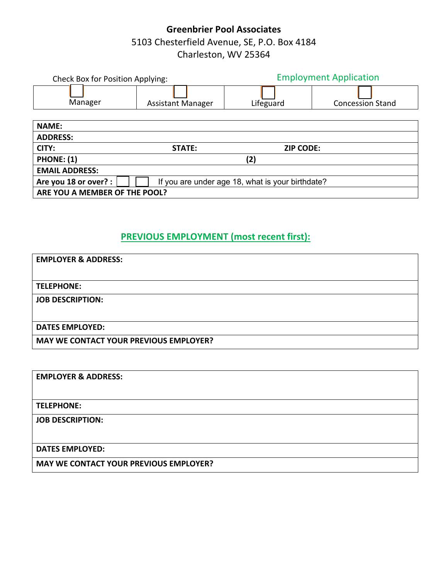# **Greenbrier Pool Associates** 5103 Chesterfield Avenue, SE, P.O. Box 4184 Charleston, WV 25364

| <b>Check Box for Position Applying:</b>                                   |                          | <b>Employment Application</b> |                         |  |
|---------------------------------------------------------------------------|--------------------------|-------------------------------|-------------------------|--|
| Manager                                                                   | <b>Assistant Manager</b> | Lifeguard                     | <b>Concession Stand</b> |  |
| <b>NAME:</b>                                                              |                          |                               |                         |  |
| <b>ADDRESS:</b>                                                           |                          |                               |                         |  |
| CITY:                                                                     | STATE:                   | <b>ZIP CODE:</b>              |                         |  |
| <b>PHONE: (1)</b>                                                         | (2)                      |                               |                         |  |
| <b>EMAIL ADDRESS:</b>                                                     |                          |                               |                         |  |
| Are you 18 or over? :<br>If you are under age 18, what is your birthdate? |                          |                               |                         |  |
| ARE YOU A MEMBER OF THE POOL?                                             |                          |                               |                         |  |

## **PREVIOUS EMPLOYMENT (most recent first):**

| <b>EMPLOYER &amp; ADDRESS:</b>                |
|-----------------------------------------------|
|                                               |
| <b>TELEPHONE:</b>                             |
| <b>JOB DESCRIPTION:</b>                       |
|                                               |
| <b>DATES EMPLOYED:</b>                        |
| <b>MAY WE CONTACT YOUR PREVIOUS EMPLOYER?</b> |

**EMPLOYER & ADDRESS:** 

**TELEPHONE:**

**JOB DESCRIPTION:** 

**DATES EMPLOYED:** 

**MAY WE CONTACT YOUR PREVIOUS EMPLOYER?**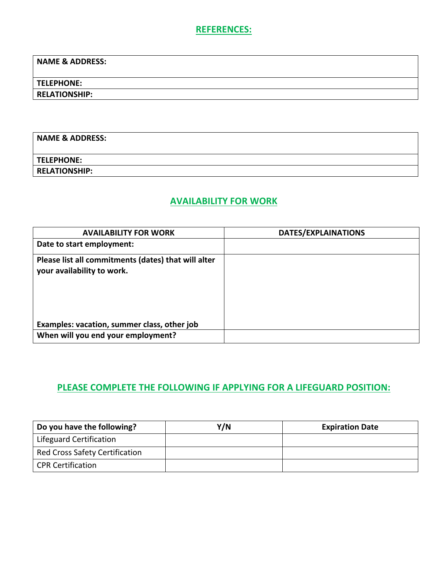#### **REFERENCES:**

**NAME & ADDRESS:** 

**TELEPHONE:**

**RELATIONSHIP:**

| <b>NAME &amp; ADDRESS:</b> |  |
|----------------------------|--|
|                            |  |
| <b>TELEPHONE:</b>          |  |
| <b>RELATIONSHIP:</b>       |  |

## **AVAILABILITY FOR WORK**

| <b>AVAILABILITY FOR WORK</b>                                                      | DATES/EXPLAINATIONS |
|-----------------------------------------------------------------------------------|---------------------|
| Date to start employment:                                                         |                     |
| Please list all commitments (dates) that will alter<br>your availability to work. |                     |
| Examples: vacation, summer class, other job                                       |                     |
| When will you end your employment?                                                |                     |

# **PLEASE COMPLETE THE FOLLOWING IF APPLYING FOR A LIFEGUARD POSITION:**

| Do you have the following?            | Y/N | <b>Expiration Date</b> |
|---------------------------------------|-----|------------------------|
| Lifeguard Certification               |     |                        |
| <b>Red Cross Safety Certification</b> |     |                        |
| <b>CPR Certification</b>              |     |                        |